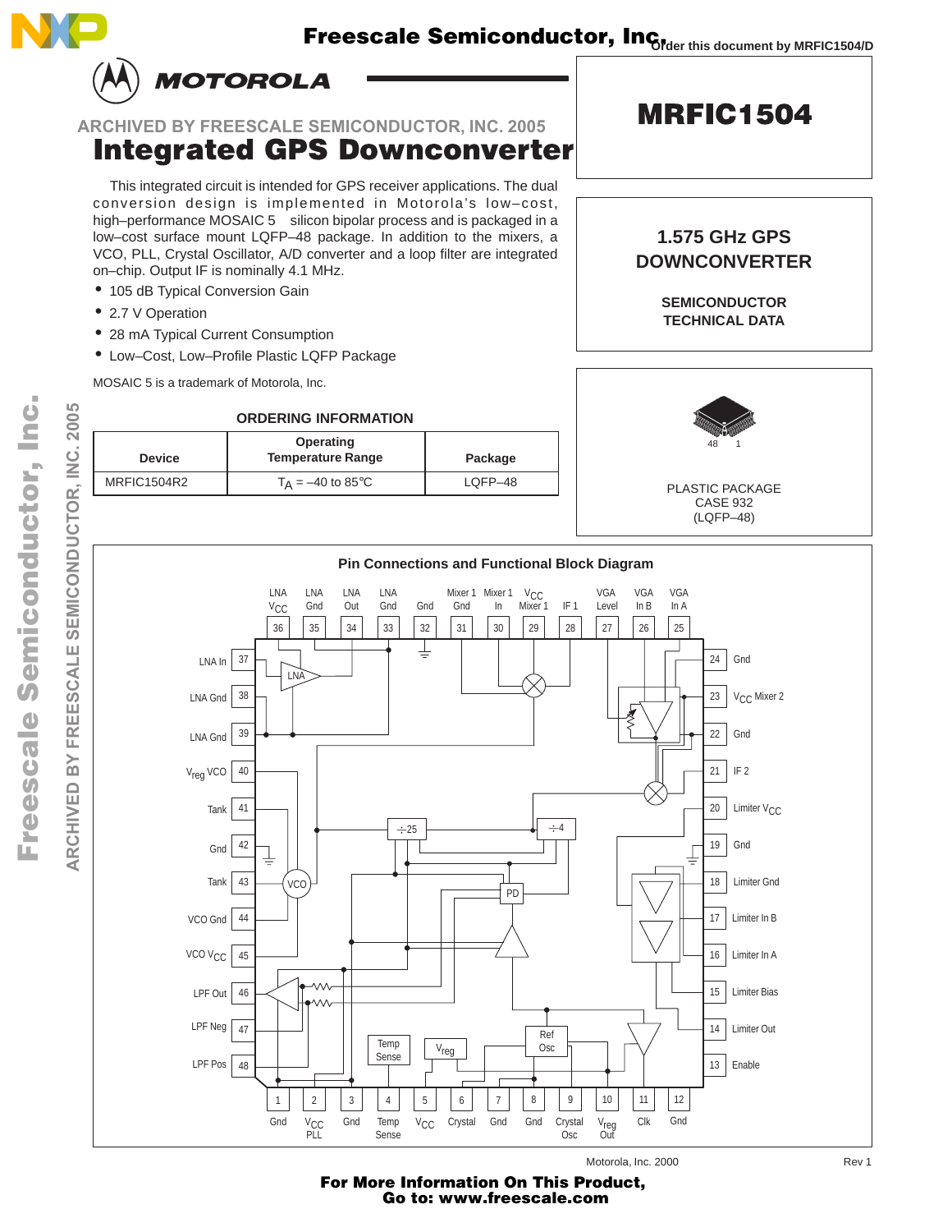

**Order this document by MRFIC1504/D Freescale Semiconductor, Inc.** 



**ARCHIVED BY FREESCALE SEMICONDUCTOR, INC. 2005**

**Integrated GPS Downconverter** 

This integrated circuit is intended for GPS receiver applications. The dual conversion design is implemented in Motorola's low–cost, high–performance MOSAIC 5™ silicon bipolar process and is packaged in a low–cost surface mount LQFP–48 package. In addition to the mixers, a VCO, PLL, Crystal Oscillator, A/D converter and a loop filter are integrated on–chip. Output IF is nominally 4.1 MHz.

- 105 dB Typical Conversion Gain
- 2.7 V Operation
- 28 mA Typical Current Consumption
- Low–Cost, Low–Profile Plastic LQFP Package

MOSAIC 5 is a trademark of Motorola, Inc.

|               | <b>ORDERING INFORMATION</b>           |         |
|---------------|---------------------------------------|---------|
| <b>Device</b> | Operating<br><b>Temperature Range</b> | Package |
| MRFIC1504R2   | $T_A = -40$ to 85°C                   | LOFP-48 |



**MRFIC1504** 

**SEMICONDUCTOR TECHNICAL DATA**





For More Information On This Product,<br>Go to: www.freescale.com

**ARCHIVED BY FREESCALE SEMICONDUCTOR, INC. 2005**

**FREESCALE** 

 $BY$ 

ARCHIVED

SEMICONDUCTOR, INC. 2005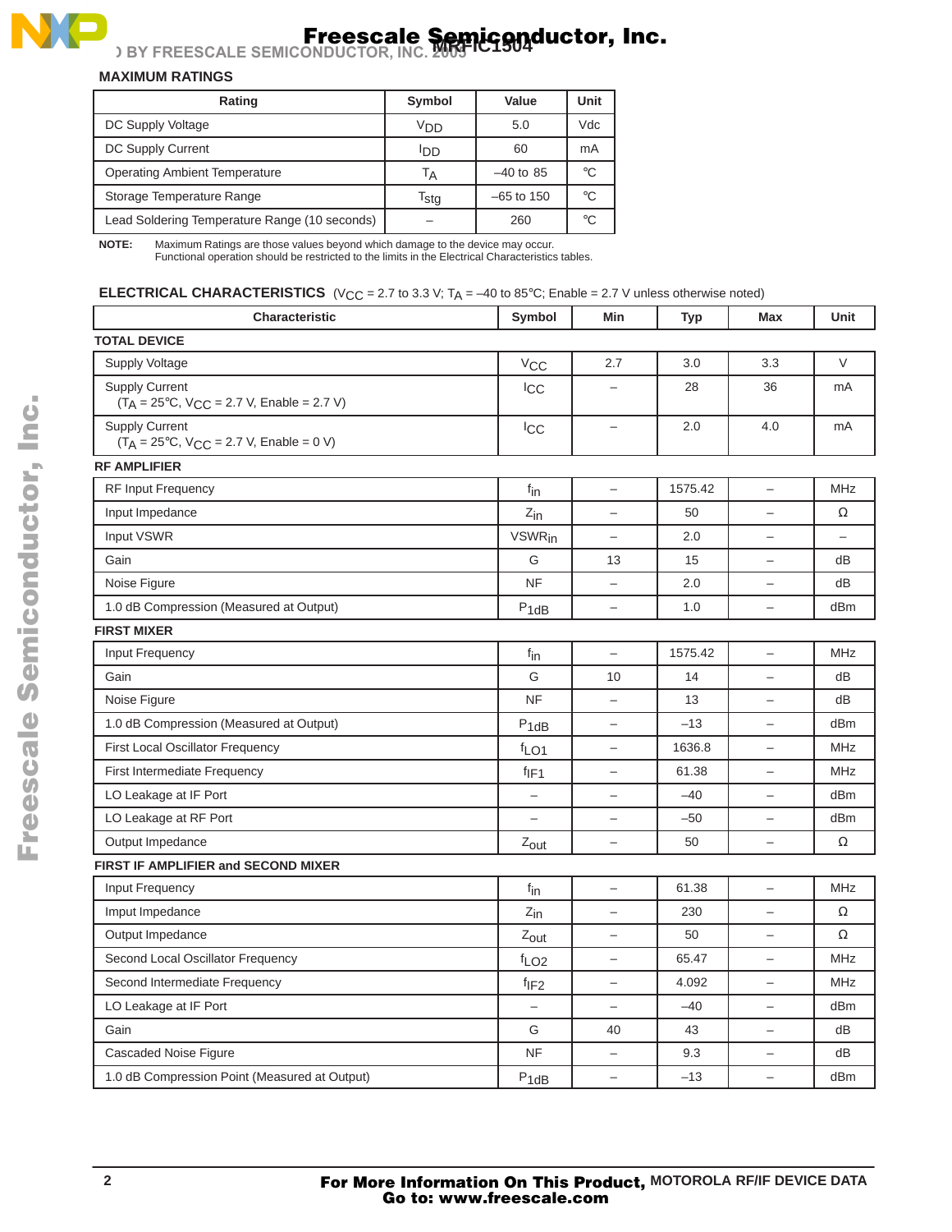

### **MAXIMUM RATINGS**

| Rating                                        | Symbol                      | Value        | Unit |
|-----------------------------------------------|-----------------------------|--------------|------|
| DC Supply Voltage                             | V <sub>DD</sub>             | 5.0          | Vdc  |
| DC Supply Current                             | ldd                         | 60           | mA   |
| <b>Operating Ambient Temperature</b>          | Τд                          | $-40$ to 85  | °C   |
| Storage Temperature Range                     | $\mathsf{T}_{\mathsf{stg}}$ | $-65$ to 150 | °C   |
| Lead Soldering Temperature Range (10 seconds) |                             | 260          | °C   |

**NOTE:** Maximum Ratings are those values beyond which damage to the device may occur. Functional operation should be restricted to the limits in the Electrical Characteristics tables.

## **ELECTRICAL CHARACTERISTICS**  $(V_{CC} = 2.7 \text{ to } 3.3 \text{ V}; T_A = -40 \text{ to } 85^{\circ}\text{C};$  Enable = 2.7 V unless otherwise noted)

| Characteristic                                                                 | Symbol                    | Min                      | <b>Typ</b> | <b>Max</b>               | Unit       |
|--------------------------------------------------------------------------------|---------------------------|--------------------------|------------|--------------------------|------------|
| <b>TOTAL DEVICE</b>                                                            |                           |                          |            |                          |            |
| <b>Supply Voltage</b>                                                          | $V_{\text{CC}}$           | 2.7                      | 3.0        | 3.3                      | $\vee$     |
| <b>Supply Current</b><br>$(T_A = 25^{\circ}C, V_{CC} = 2.7 V,$ Enable = 2.7 V) | <b>Icc</b>                |                          | 28         | 36                       | mA         |
| <b>Supply Current</b><br>$(T_A = 25^{\circ}C, V_{CC} = 2.7 V,$ Enable = 0 V)   | <b>I</b> CC               | $\overline{\phantom{0}}$ | 2.0        | 4.0                      | mA         |
| <b>RF AMPLIFIER</b>                                                            |                           |                          |            |                          |            |
| <b>RF Input Frequency</b>                                                      | $f_{\text{in}}$           | $\overline{\phantom{0}}$ | 1575.42    | $\qquad \qquad -$        | MHz        |
| Input Impedance                                                                | $Z_{\text{in}}$           | $\overline{\phantom{0}}$ | 50         | $\overline{\phantom{0}}$ | $\Omega$   |
| Input VSWR                                                                     | <b>VSWR</b> <sub>in</sub> |                          | 2.0        | $\overline{\phantom{0}}$ |            |
| Gain                                                                           | G                         | 13                       | 15         | $\qquad \qquad -$        | dB         |
| Noise Figure                                                                   | <b>NF</b>                 | $\overline{\phantom{0}}$ | 2.0        | $\overline{\phantom{0}}$ | dB         |
| 1.0 dB Compression (Measured at Output)                                        | $P_{1dB}$                 | $\qquad \qquad -$        | 1.0        | -                        | dBm        |
| <b>FIRST MIXER</b>                                                             |                           |                          |            |                          |            |
| Input Frequency                                                                | $f_{\text{in}}$           | $\overline{\phantom{0}}$ | 1575.42    | $\qquad \qquad -$        | <b>MHz</b> |
| Gain                                                                           | G                         | 10                       | 14         | $\qquad \qquad -$        | dB         |
| Noise Figure                                                                   | <b>NF</b>                 | $\overline{\phantom{0}}$ | 13         | $\overline{\phantom{0}}$ | dB         |
| 1.0 dB Compression (Measured at Output)                                        | $P_{1dB}$                 | $\overline{\phantom{0}}$ | $-13$      | $\overline{a}$           | dBm        |
| <b>First Local Oscillator Frequency</b>                                        | $f_{LO1}$                 | $\equiv$                 | 1636.8     | $\overline{\phantom{0}}$ | <b>MHz</b> |
| <b>First Intermediate Frequency</b>                                            | $f_{IF1}$                 | $\overline{\phantom{0}}$ | 61.38      | $\qquad \qquad -$        | <b>MHz</b> |
| LO Leakage at IF Port                                                          |                           |                          | $-40$      | -                        | dBm        |
| LO Leakage at RF Port                                                          | $\overline{\phantom{0}}$  |                          | $-50$      | $\overline{\phantom{0}}$ | dBm        |
| Output Impedance                                                               | $Z_{\text{out}}$          | $\qquad \qquad -$        | 50         | -                        | $\Omega$   |
| <b>FIRST IF AMPLIFIER and SECOND MIXER</b>                                     |                           |                          |            |                          |            |
| Input Frequency                                                                | $f_{\text{in}}$           | $\overline{\phantom{0}}$ | 61.38      | $\equiv$                 | <b>MHz</b> |
| Imput Impedance                                                                | $Z_{in}$                  | $\overline{\phantom{0}}$ | 230        | $\overline{\phantom{0}}$ | $\Omega$   |
| Output Impedance                                                               | $Z_{\text{out}}$          | $\overline{\phantom{0}}$ | 50         | $\overline{\phantom{0}}$ | $\Omega$   |
| Second Local Oscillator Frequency                                              | $f_{LO2}$                 | $\qquad \qquad -$        | 65.47      | $\qquad \qquad -$        | <b>MHz</b> |
| Second Intermediate Frequency                                                  | $f_{IF2}$                 |                          | 4.092      | $\overline{\phantom{0}}$ | <b>MHz</b> |
| LO Leakage at IF Port                                                          | $\overline{\phantom{0}}$  |                          | $-40$      | $\overline{\phantom{0}}$ | dBm        |
| Gain                                                                           | G                         | 40                       | 43         | -                        | dB         |
| <b>Cascaded Noise Figure</b>                                                   | <b>NF</b>                 | $\overline{\phantom{0}}$ | 9.3        | $\overline{\phantom{0}}$ | dB         |
| 1.0 dB Compression Point (Measured at Output)                                  | $P_1$ dB                  |                          | $-13$      | -                        | dBm        |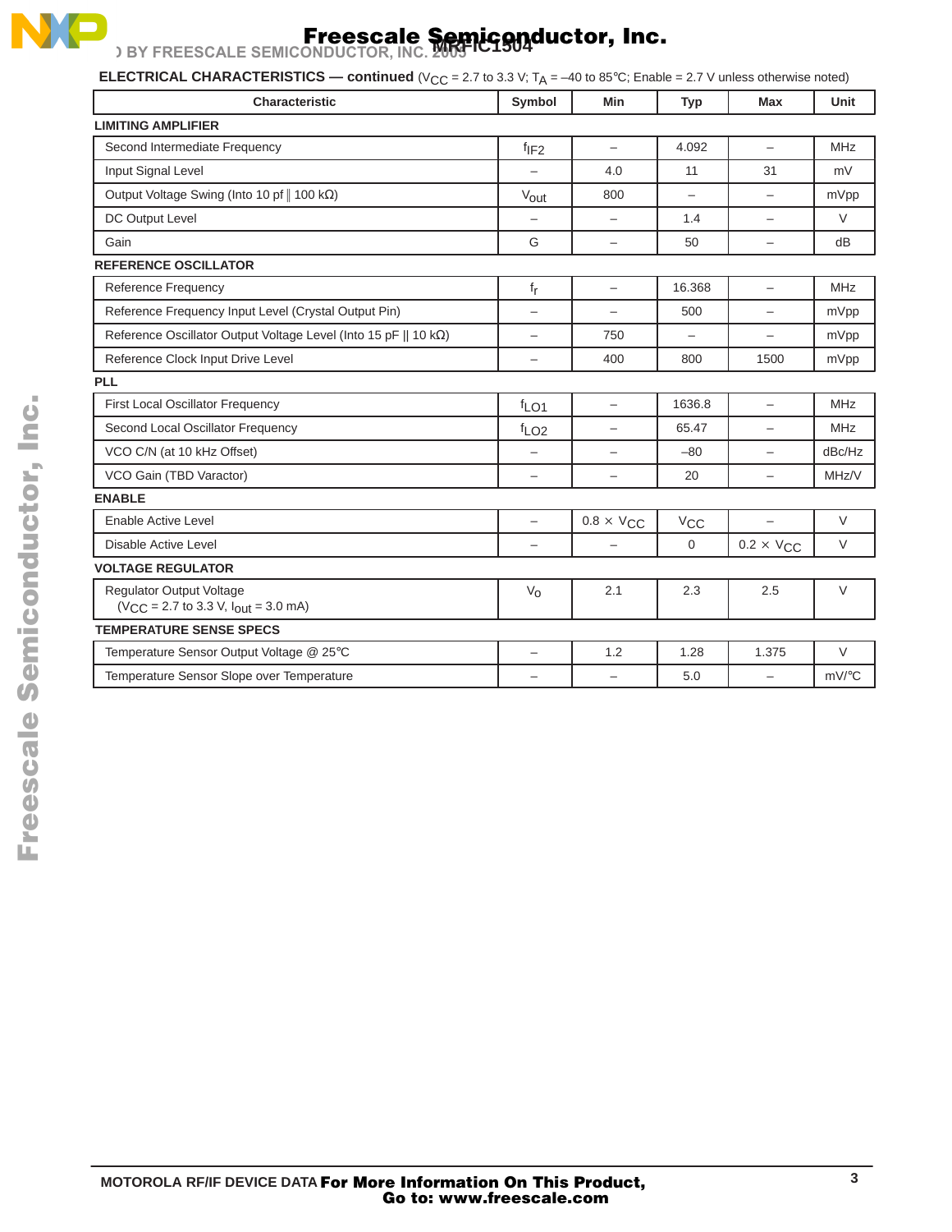

#### **Freescale Semiconductor, Inc.**

| <b>Characteristic</b>                                                            | Symbol                   | Min                      | <b>Typ</b>               | Max                      |          |
|----------------------------------------------------------------------------------|--------------------------|--------------------------|--------------------------|--------------------------|----------|
| <b>LIMITING AMPLIFIER</b>                                                        |                          |                          |                          |                          |          |
| Second Intermediate Frequency                                                    | $f_{IF2}$                | $\qquad \qquad -$        | 4.092                    | $-$                      |          |
| Input Signal Level                                                               |                          | 4.0                      | 11                       | 31                       |          |
| Output Voltage Swing (Into 10 pf    100 kΩ)                                      | $V_{\text{out}}$         | 800                      | $\overline{\phantom{m}}$ | $-$                      |          |
| DC Output Level                                                                  |                          | $\overline{\phantom{0}}$ | 1.4                      | $\overline{\phantom{m}}$ |          |
| Gain                                                                             | G                        |                          | 50                       | $\overline{\phantom{0}}$ |          |
| <b>REFERENCE OSCILLATOR</b>                                                      |                          |                          |                          |                          |          |
| <b>Reference Frequency</b>                                                       | f <sub>r</sub>           | $\overline{\phantom{0}}$ | 16.368                   | $-$                      |          |
| Reference Frequency Input Level (Crystal Output Pin)                             |                          |                          | 500                      |                          |          |
| Reference Oscillator Output Voltage Level (Into 15 pF    10 kΩ)                  | -                        | 750                      | $\overline{\phantom{m}}$ | $\overline{\phantom{0}}$ |          |
| Reference Clock Input Drive Level                                                | $\qquad \qquad -$        | 400                      | 800                      | 1500                     |          |
| <b>PLL</b>                                                                       |                          |                          |                          |                          |          |
| First Local Oscillator Frequency                                                 | f <sub>LO1</sub>         | $-$                      | 1636.8                   | $\overline{\phantom{0}}$ |          |
| Second Local Oscillator Frequency                                                | $f_{LO2}$                | $\overline{\phantom{m}}$ | 65.47                    | $\overline{\phantom{m}}$ |          |
| VCO C/N (at 10 kHz Offset)                                                       |                          |                          | $-80$                    |                          | dBc/Hz   |
| VCO Gain (TBD Varactor)                                                          | $\overline{\phantom{0}}$ | $\overline{\phantom{0}}$ | 20                       | $\overline{\phantom{0}}$ | MHz/V    |
| <b>ENABLE</b>                                                                    |                          |                          |                          |                          |          |
| <b>Enable Active Level</b>                                                       | $\equiv$                 | $0.8 \times V_{CC}$      | $V_{\text{CC}}$          | $\equiv$                 |          |
| Disable Active Level                                                             | $\overline{\phantom{0}}$ | $\overline{\phantom{0}}$ | $\overline{0}$           | $0.2 \times V_{CC}$      |          |
| <b>VOLTAGE REGULATOR</b>                                                         |                          |                          |                          |                          |          |
| <b>Regulator Output Voltage</b><br>$(V_{CC} = 2.7$ to 3.3 V, $I_{out} = 3.0$ mA) | $V_{\Omega}$             | 2.1                      | 2.3                      | 2.5                      |          |
| <b>TEMPERATURE SENSE SPECS</b>                                                   |                          |                          |                          |                          |          |
| Temperature Sensor Output Voltage @ 25°C                                         | $\overline{\phantom{0}}$ | 1.2                      | 1.28                     | 1.375                    |          |
| Temperature Sensor Slope over Temperature                                        | $\overline{\phantom{0}}$ | $\overline{\phantom{m}}$ | 5.0                      | $-$                      | $mV$ /°C |

F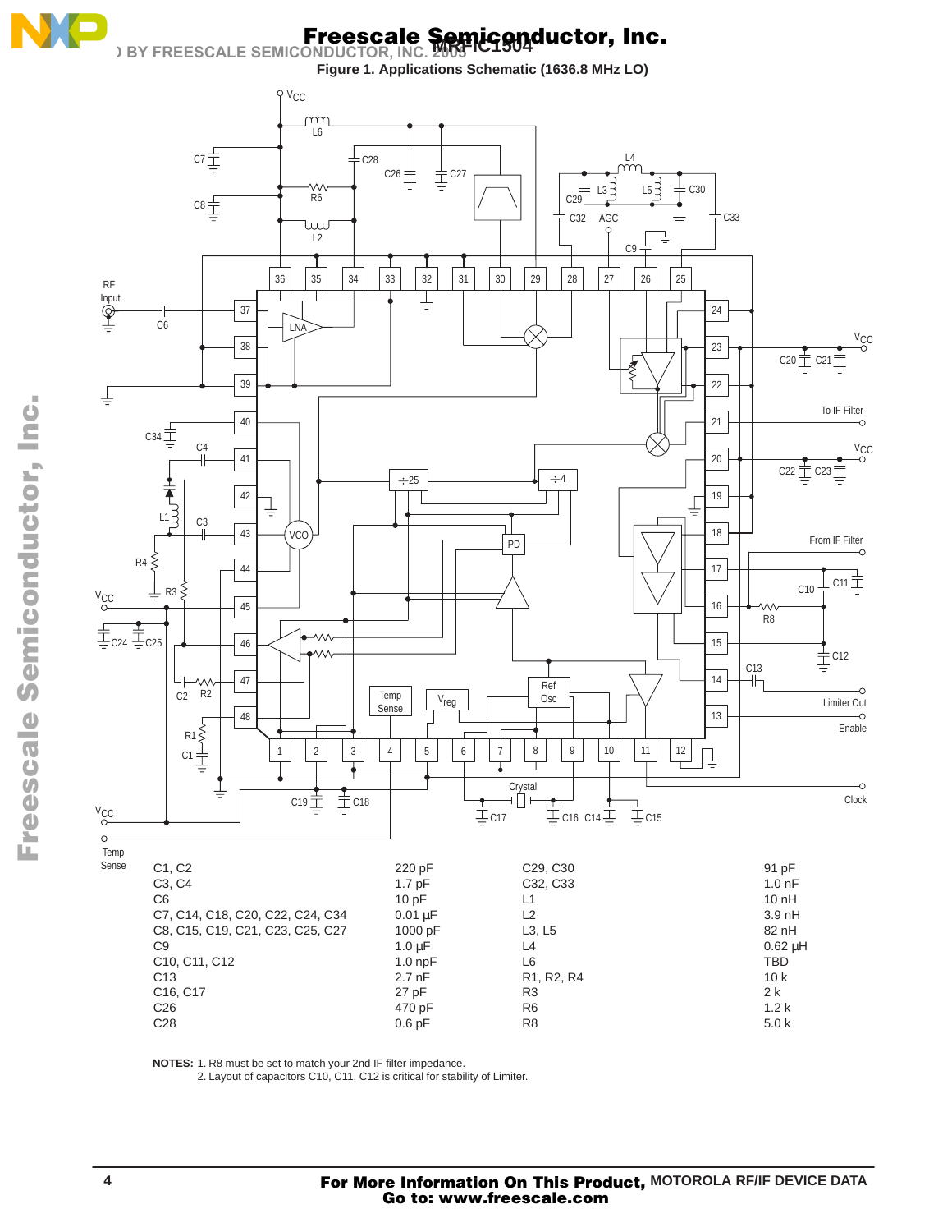

## **ARCHIVED BY FREESCALE SEMICONDUCTOR, INC. 2005 <b>MBTIC1504 Freescale Semicanductor, Inc.**



**NOTES:** 1. R8 must be set to match your 2nd IF filter impedance.

2. Layout of capacitors C10, C11, C12 is critical for stability of Limiter.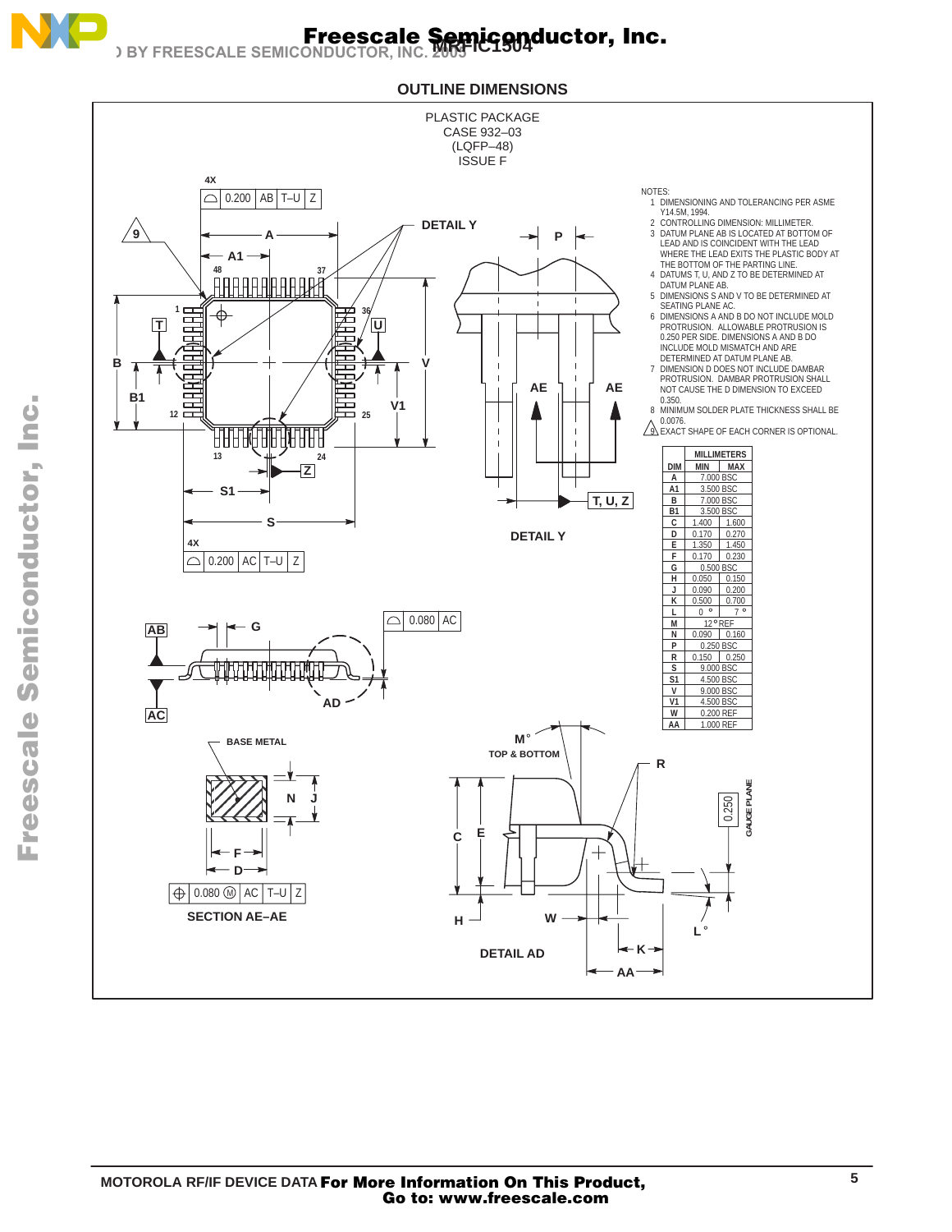

# **Freescale Semicanductor, Inc.**

**ARCHIVED BY FREESCALE SEMICONDUCTOR, INC. 2005 <b>MBTIC1504** 

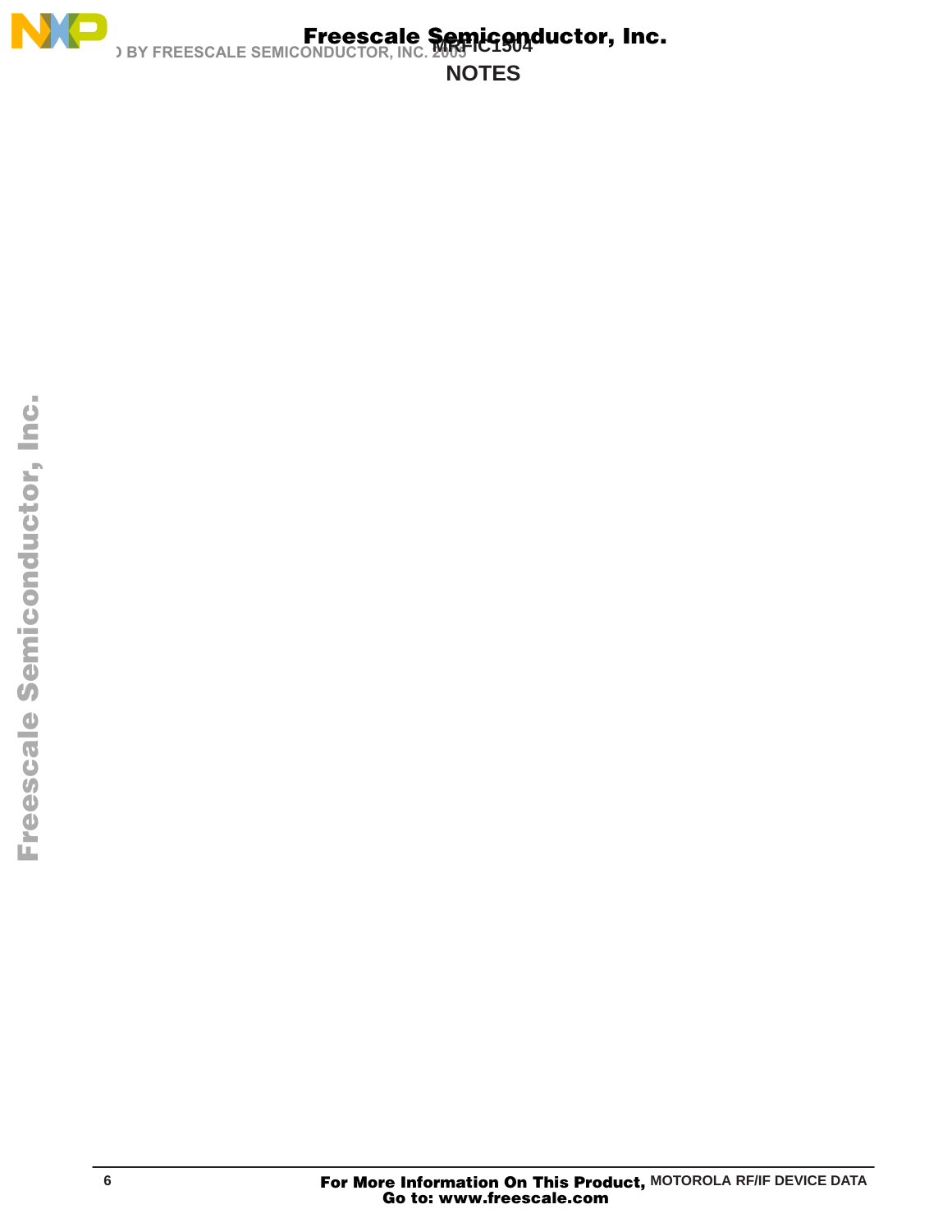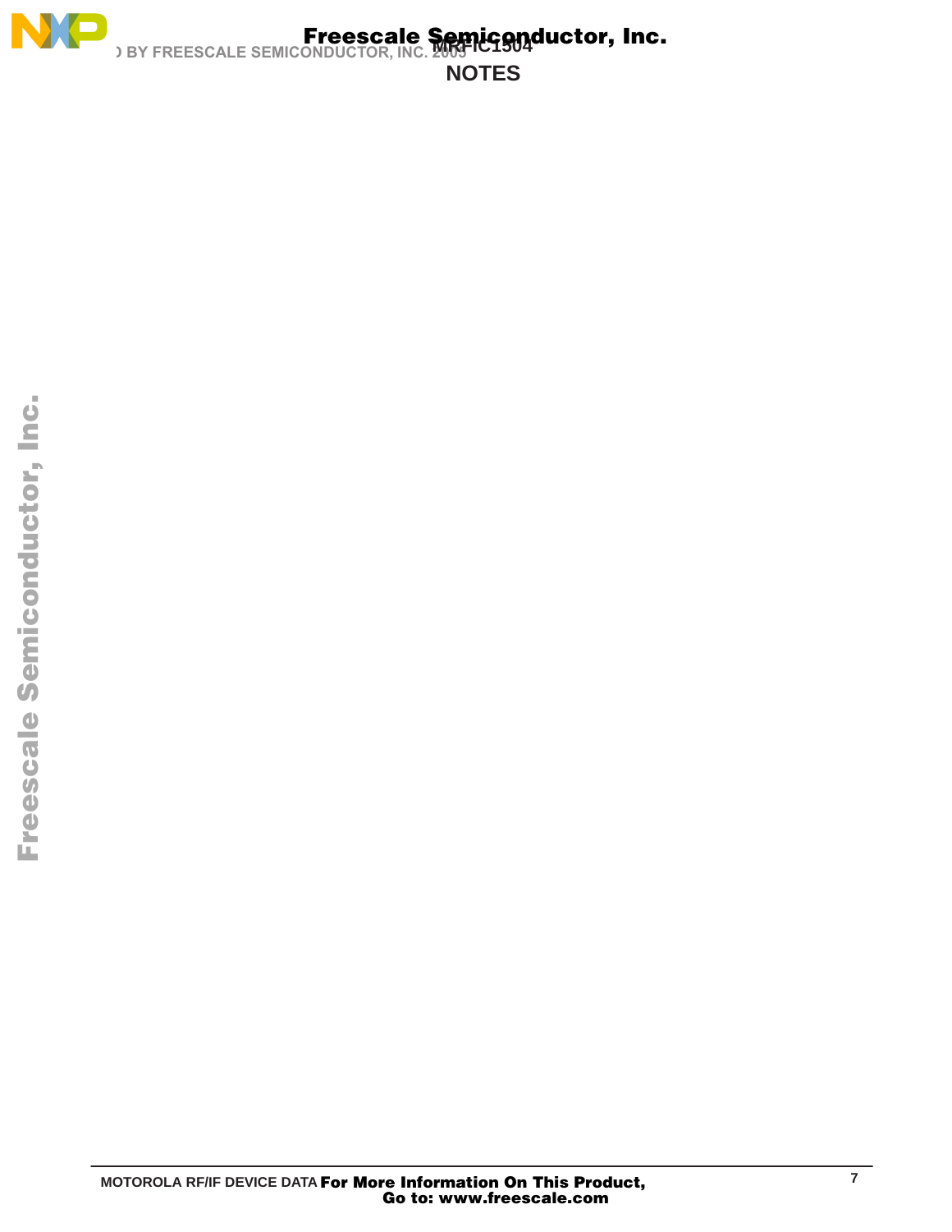